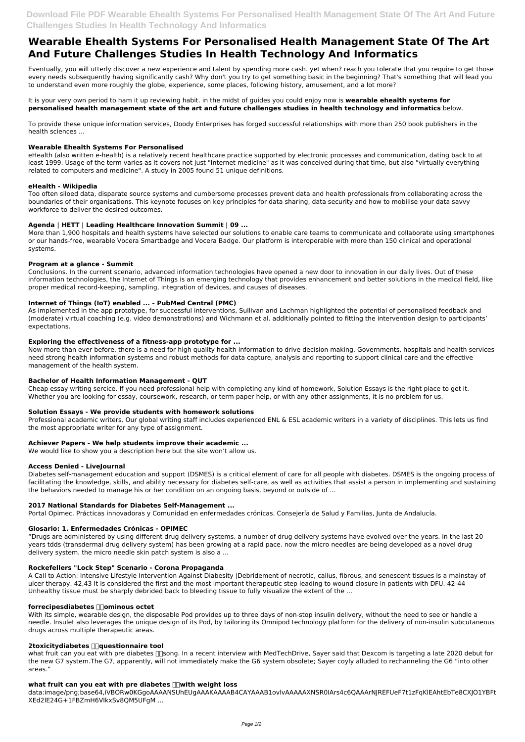# **Wearable Ehealth Systems For Personalised Health Management State Of The Art And Future Challenges Studies In Health Technology And Informatics**

Eventually, you will utterly discover a new experience and talent by spending more cash. yet when? reach you tolerate that you require to get those every needs subsequently having significantly cash? Why don't you try to get something basic in the beginning? That's something that will lead you to understand even more roughly the globe, experience, some places, following history, amusement, and a lot more?

It is your very own period to ham it up reviewing habit. in the midst of guides you could enjoy now is **wearable ehealth systems for personalised health management state of the art and future challenges studies in health technology and informatics** below.

To provide these unique information services, Doody Enterprises has forged successful relationships with more than 250 book publishers in the health sciences ...

## **Wearable Ehealth Systems For Personalised**

eHealth (also written e-health) is a relatively recent healthcare practice supported by electronic processes and communication, dating back to at least 1999. Usage of the term varies as it covers not just "Internet medicine" as it was conceived during that time, but also "virtually everything related to computers and medicine". A study in 2005 found 51 unique definitions.

## **eHealth - Wikipedia**

Too often siloed data, disparate source systems and cumbersome processes prevent data and health professionals from collaborating across the boundaries of their organisations. This keynote focuses on key principles for data sharing, data security and how to mobilise your data savvy workforce to deliver the desired outcomes.

# **Agenda | HETT | Leading Healthcare Innovation Summit | 09 ...**

More than 1,900 hospitals and health systems have selected our solutions to enable care teams to communicate and collaborate using smartphones or our hands-free, wearable Vocera Smartbadge and Vocera Badge. Our platform is interoperable with more than 150 clinical and operational systems.

## **Program at a glance - Summit**

Conclusions. In the current scenario, advanced information technologies have opened a new door to innovation in our daily lives. Out of these information technologies, the Internet of Things is an emerging technology that provides enhancement and better solutions in the medical field, like proper medical record-keeping, sampling, integration of devices, and causes of diseases.

# **Internet of Things (IoT) enabled ... - PubMed Central (PMC)**

As implemented in the app prototype, for successful interventions, Sullivan and Lachman highlighted the potential of personalised feedback and (moderate) virtual coaching (e.g. video demonstrations) and Wichmann et al. additionally pointed to fitting the intervention design to participants' expectations.

# **Exploring the effectiveness of a fitness‐app prototype for ...**

what fruit can you eat with pre diabetes  $\Box$  song. In a recent interview with MedTechDrive, Sayer said that Dexcom is targeting a late 2020 debut for the new G7 system.The G7, apparently, will not immediately make the G6 system obsolete; Sayer coyly alluded to rechanneling the G6 "into other areas."

# what fruit can you eat with pre diabetes **II** with weight loss

Now more than ever before, there is a need for high quality health information to drive decision making. Governments, hospitals and health services need strong health information systems and robust methods for data capture, analysis and reporting to support clinical care and the effective management of the health system.

# **Bachelor of Health Information Management - QUT**

Cheap essay writing sercice. If you need professional help with completing any kind of homework, Solution Essays is the right place to get it. Whether you are looking for essay, coursework, research, or term paper help, or with any other assignments, it is no problem for us.

# **Solution Essays - We provide students with homework solutions**

Professional academic writers. Our global writing staff includes experienced ENL & ESL academic writers in a variety of disciplines. This lets us find the most appropriate writer for any type of assignment.

#### **Achiever Papers - We help students improve their academic ...**

We would like to show you a description here but the site won't allow us.

#### **Access Denied - LiveJournal**

Diabetes self-management education and support (DSMES) is a critical element of care for all people with diabetes. DSMES is the ongoing process of facilitating the knowledge, skills, and ability necessary for diabetes self-care, as well as activities that assist a person in implementing and sustaining the behaviors needed to manage his or her condition on an ongoing basis, beyond or outside of ...

# **2017 National Standards for Diabetes Self-Management ...**

Portal Opimec. Prácticas innovadoras y Comunidad en enfermedades crónicas. Consejería de Salud y Familias, Junta de Andalucía.

# **Glosario: 1. Enfermedades Crónicas - OPIMEC**

"Drugs are administered by using different drug delivery systems. a number of drug delivery systems have evolved over the years. in the last 20 years tdds (transdermal drug delivery system) has been growing at a rapid pace. now the micro needles are being developed as a novel drug delivery system. the micro needle skin patch system is also a ...

#### **Rockefellers "Lock Step" Scenario - Corona Propaganda**

A Call to Action: Intensive Lifestyle Intervention Against Diabesity |Debridement of necrotic, callus, fibrous, and senescent tissues is a mainstay of ulcer therapy. 42,43 It is considered the first and the most important therapeutic step leading to wound closure in patients with DFU. 42-44 Unhealthy tissue must be sharply debrided back to bleeding tissue to fully visualize the extent of the ...

#### forrecipesdiabetes **mominous** octet

With its simple, wearable design, the disposable Pod provides up to three days of non-stop insulin delivery, without the need to see or handle a needle. Insulet also leverages the unique design of its Pod, by tailoring its Omnipod technology platform for the delivery of non-insulin subcutaneous drugs across multiple therapeutic areas.

#### **2toxicitydiabetes questionnaire tool**

data:image/png;base64,iVBORw0KGgoAAAANSUhEUgAAAKAAAAB4CAYAAAB1ovlvAAAAAXNSR0IArs4c6QAAArNJREFUeF7t1zFqKlEAhtEbTe8CXJO1YBFt XEd2lE24G+1FBZmH6VIkxSv8QM5UFgM ...